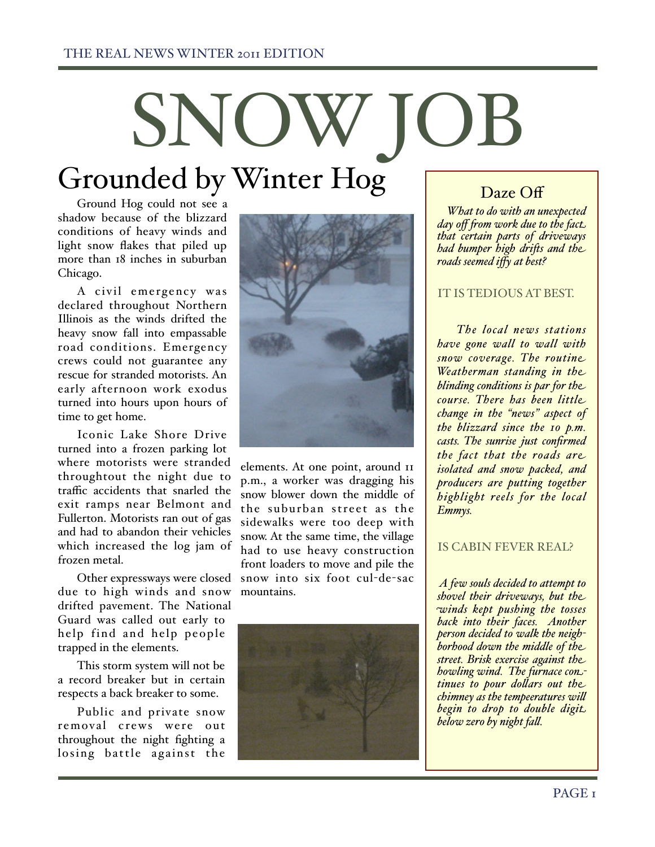# SNOW Grounded by Winter Hog

Ground Hog could not see a shadow because of the blizzard conditions of heavy winds and light snow flakes that piled up more than 18 inches in suburban Chicago.

A civil emergency was declared throughout Northern Illinois as the winds drifted the heavy snow fall into empassable road conditions. Emergency crews could not guarantee any rescue for stranded motorists. An early afternoon work exodus turned into hours upon hours of time to get home.

Iconic Lake Shore Drive turned into a frozen parking lot where motorists were stranded throughtout the night due to traffic accidents that snarled the exit ramps near Belmont and Fullerton. Motorists ran out of gas and had to abandon their vehicles which increased the log jam of frozen metal.

Other expressways were closed due to high winds and snow drifted pavement. The National Guard was called out early to help find and help people trapped in the elements.

This storm system will not be a record breaker but in certain respects a back breaker to some.

Public and private snow removal crews were out throughout the night fighting a losing battle against the



elements. At one point, around 11 p.m., a worker was dragging his snow blower down the middle of the suburban street as the sidewalks were too deep with snow. At the same time, the village had to use heavy construction front loaders to move and pile the snow into six foot cul-de-sac mountains.



## Daze Off

 *What to do with an unexpected day off from work due to the fact. that certain parts of driveways had bumper high dri\$s and the roads seemed iffy at best?*

#### IT IS TEDIOUS AT BEST.

*The local news stations have gone wall to wall with snow coverage. The routine Weatherman standing in the blinding conditions is par for the course. There has been little change in the "news" aspect of the blizzard since the 10 p.m. casts. The sunrise just confirmed the fact that the roads are isolated and snow packed, and producers are putting together highlight reels for the local Emmys.*

#### IS CABIN FEVER REAL?

 *A few souls decided to attempt to shovel their driveways, but the winds kept pushing the tosses back into their faces. Another person decided to walk the neighborhood down the middle of the street. Brisk exercise against the howling wind. The furnace continues to pour dollars out the chimney as the tempeeratures wi) begin to drop to double digit below zero by night fa).*